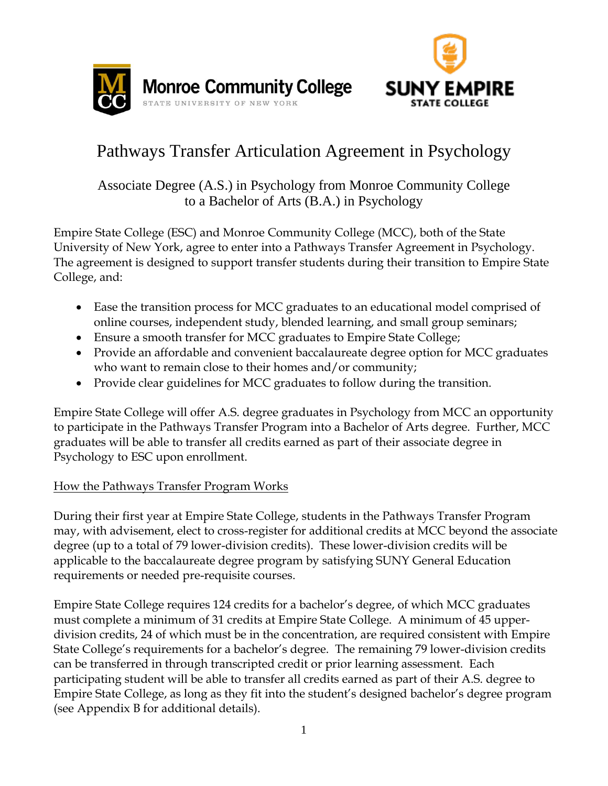



# Pathways Transfer Articulation Agreement in Psychology

Associate Degree (A.S.) in Psychology from Monroe Community College to a Bachelor of Arts (B.A.) in Psychology

Empire State College (ESC) and Monroe Community College (MCC), both of the State University of New York, agree to enter into a Pathways Transfer Agreement in Psychology. The agreement is designed to support transfer students during their transition to Empire State College, and:

- Ease the transition process for MCC graduates to an educational model comprised of online courses, independent study, blended learning, and small group seminars;
- Ensure a smooth transfer for MCC graduates to Empire State College;
- Provide an affordable and convenient baccalaureate degree option for MCC graduates who want to remain close to their homes and/or community;
- Provide clear guidelines for MCC graduates to follow during the transition.

Empire State College will offer A.S. degree graduates in Psychology from MCC an opportunity to participate in the Pathways Transfer Program into a Bachelor of Arts degree. Further, MCC graduates will be able to transfer all credits earned as part of their associate degree in Psychology to ESC upon enrollment.

# How the Pathways Transfer Program Works

During their first year at Empire State College, students in the Pathways Transfer Program may, with advisement, elect to cross-register for additional credits at MCC beyond the associate degree (up to a total of 79 lower-division credits). These lower-division credits will be applicable to the baccalaureate degree program by satisfying SUNY General Education requirements or needed pre-requisite courses.

Empire State College requires 124 credits for a bachelor's degree, of which MCC graduates must complete a minimum of 31 credits at Empire State College. A minimum of 45 upperdivision credits, 24 of which must be in the concentration, are required consistent with Empire State College's requirements for a bachelor's degree. The remaining 79 lower-division credits can be transferred in through transcripted credit or prior learning assessment. Each participating student will be able to transfer all credits earned as part of their A.S. degree to Empire State College, as long as they fit into the student's designed bachelor's degree program (see Appendix B for additional details).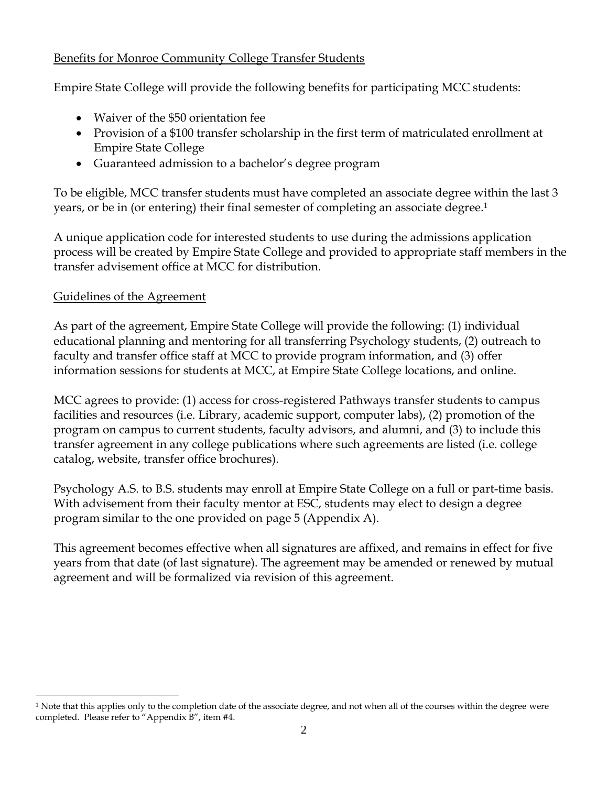# Benefits for Monroe Community College Transfer Students

Empire State College will provide the following benefits for participating MCC students:

- Waiver of the \$50 orientation fee
- Provision of a \$100 transfer scholarship in the first term of matriculated enrollment at Empire State College
- Guaranteed admission to a bachelor's degree program

To be eligible, MCC transfer students must have completed an associate degree within the last 3 years, or be in (or entering) their final semester of completing an associate degree.<sup>1</sup>

A unique application code for interested students to use during the admissions application process will be created by Empire State College and provided to appropriate staff members in the transfer advisement office at MCC for distribution.

## Guidelines of the Agreement

 $\overline{a}$ 

As part of the agreement, Empire State College will provide the following: (1) individual educational planning and mentoring for all transferring Psychology students, (2) outreach to faculty and transfer office staff at MCC to provide program information, and (3) offer information sessions for students at MCC, at Empire State College locations, and online.

MCC agrees to provide: (1) access for cross-registered Pathways transfer students to campus facilities and resources (i.e. Library, academic support, computer labs), (2) promotion of the program on campus to current students, faculty advisors, and alumni, and (3) to include this transfer agreement in any college publications where such agreements are listed (i.e. college catalog, website, transfer office brochures).

Psychology A.S. to B.S. students may enroll at Empire State College on a full or part-time basis. With advisement from their faculty mentor at ESC, students may elect to design a degree program similar to the one provided on page 5 (Appendix A).

This agreement becomes effective when all signatures are affixed, and remains in effect for five years from that date (of last signature). The agreement may be amended or renewed by mutual agreement and will be formalized via revision of this agreement.

<sup>&</sup>lt;sup>1</sup> Note that this applies only to the completion date of the associate degree, and not when all of the courses within the degree were completed. Please refer to "Appendix B", item #4.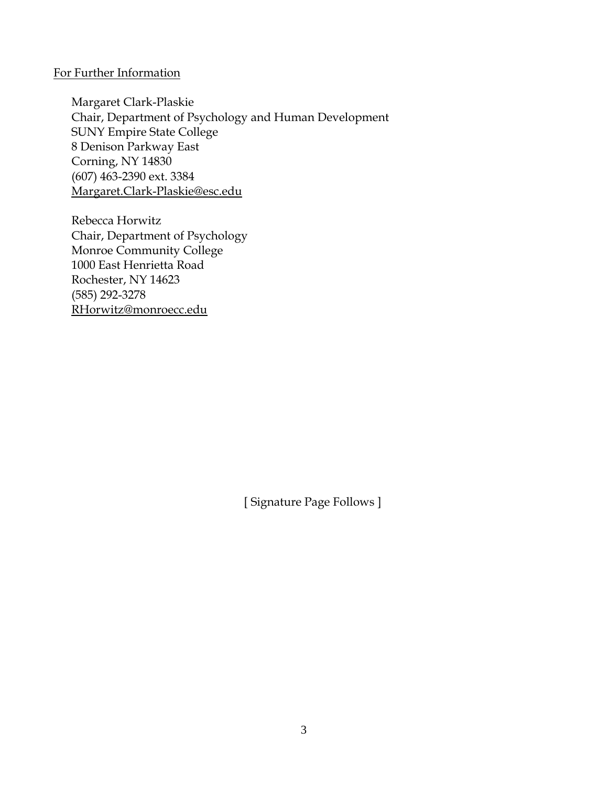#### For Further Information

Margaret Clark-Plaskie Chair, Department of Psychology and Human Development SUNY Empire State College 8 Denison Parkway East Corning, NY 14830 (607) 463-2390 ext. 3384 Margaret.Clark-Plaskie@esc.edu

Rebecca Horwitz Chair, Department of Psychology Monroe Community College 1000 East Henrietta Road Rochester, NY 14623 (585) 292-3278 RHorwitz@monroecc.edu

[ Signature Page Follows ]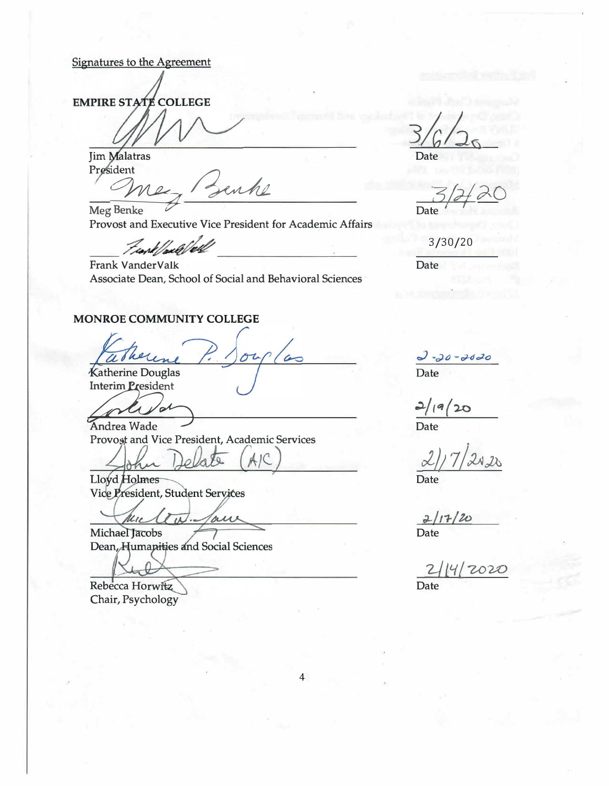#### Signatures to the Agreement

**EMPIRE STATE COLLEGE** 

**Jim Malatras** President

me, Benke

**Meg Benke** Provost and Executive Vice President for Academic Affairs

Frank/well/ell

Frank VanderValk Associate Dean, School of Social and Behavioral Sciences

#### **MONROE COMMUNITY COLLEGE**

**Katherine Douglas** 

**Interim President** 

Andrea Wade Provoșt and Vice President, Academic Services

Lo.

Lloyd Holmes Vice President, Student Services

Mu  $u\bar{u}$ Taur

Michael Jacobs Dean, Humapities and Social Sciences

Rebecca Horwitz Chair, Psychology

Date

Date

 $3/30/20$ 

Date

 $\frac{1}{\text{Date}}$ 

 $2/19/20$ 

Date

 $2/17/20$ Date

 $4/2020$ **Date** 

 $\overline{\mathbf{4}}$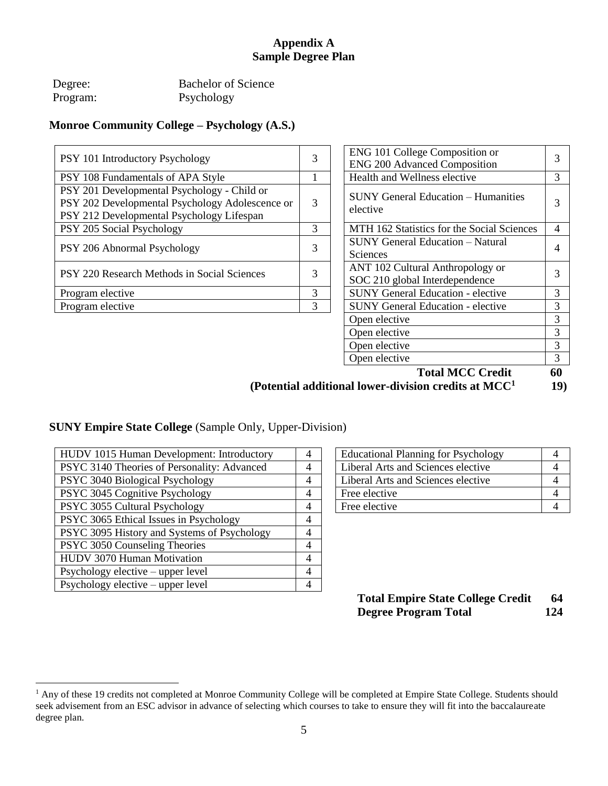## **Appendix A Sample Degree Plan**

| Degree:  | <b>Bachelor of Science</b> |
|----------|----------------------------|
| Program: | Psychology                 |

## **Monroe Community College – Psychology (A.S.)**

| PSY 101 Introductory Psychology                                                                                                             | 3 | ENG 101 College Composition or<br><b>ENG 200 Advanced Composition</b> | 3 |
|---------------------------------------------------------------------------------------------------------------------------------------------|---|-----------------------------------------------------------------------|---|
| PSY 108 Fundamentals of APA Style                                                                                                           |   | Health and Wellness elective                                          |   |
| PSY 201 Developmental Psychology - Child or<br>PSY 202 Developmental Psychology Adolescence or<br>PSY 212 Developmental Psychology Lifespan | 3 | <b>SUNY General Education – Humanities</b><br>elective                | 3 |
| PSY 205 Social Psychology                                                                                                                   | 3 | MTH 162 Statistics for the Social Sciences                            | 4 |
| PSY 206 Abnormal Psychology                                                                                                                 | 3 | <b>SUNY General Education - Natural</b><br>Sciences                   | 4 |
| PSY 220 Research Methods in Social Sciences                                                                                                 | 3 | ANT 102 Cultural Anthropology or<br>SOC 210 global Interdependence    | 3 |
| Program elective                                                                                                                            | 3 | <b>SUNY General Education - elective</b>                              | 3 |
| Program elective                                                                                                                            | 3 | <b>SUNY General Education - elective</b>                              | 3 |

| (Potential additional lower-division credits at $MCC1$ |   |                                                                    |    |
|--------------------------------------------------------|---|--------------------------------------------------------------------|----|
|                                                        |   | <b>Total MCC Credit</b>                                            | 60 |
|                                                        |   | Open elective                                                      | 3  |
|                                                        |   | Open elective                                                      | 3  |
|                                                        |   | Open elective                                                      | 3  |
|                                                        |   | Open elective                                                      | 3  |
|                                                        | 3 | <b>SUNY General Education - elective</b>                           | 3  |
|                                                        | 3 | <b>SUNY General Education - elective</b>                           | 3  |
| ıces                                                   | 3 | ANT 102 Cultural Anthropology or<br>SOC 210 global Interdependence | 3  |
|                                                        | 3 | <b>Sciences</b>                                                    | 4  |
|                                                        |   | <b>SUNY General Education – Natural</b>                            |    |
|                                                        | 3 | MTH 162 Statistics for the Social Sciences                         | 4  |
| ld or<br>escence or<br>pan                             | 3 | <b>SUNY General Education – Humanities</b><br>elective             | 3  |
|                                                        | 1 | Health and Wellness elective                                       | 3  |
|                                                        | 3 | <b>ENG 200 Advanced Composition</b>                                | 3  |
|                                                        |   | ENG 101 College Composition or                                     |    |

# **SUNY Empire State College** (Sample Only, Upper-Division)

| HUDV 1015 Human Development: Introductory   | 4 | <b>Educational Planning for Psychology</b> | 4              |
|---------------------------------------------|---|--------------------------------------------|----------------|
| PSYC 3140 Theories of Personality: Advanced | 4 | Liberal Arts and Sciences elective         | 4              |
| PSYC 3040 Biological Psychology             | 4 | Liberal Arts and Sciences elective         | 4              |
| PSYC 3045 Cognitive Psychology              | 4 | Free elective                              | 4              |
| PSYC 3055 Cultural Psychology               | 4 | Free elective                              | $\overline{4}$ |
| PSYC 3065 Ethical Issues in Psychology      | 4 |                                            |                |
| PSYC 3095 History and Systems of Psychology | 4 |                                            |                |
| PSYC 3050 Counseling Theories               | 4 |                                            |                |
| HUDV 3070 Human Motivation                  | 4 |                                            |                |
| Psychology elective – upper level           | 4 |                                            |                |
| Psychology elective $-\mu$ upper level      | 4 |                                            |                |

 $\overline{a}$ 

| <b>Educational Planning for Psychology</b> |  |
|--------------------------------------------|--|
| Liberal Arts and Sciences elective         |  |
| Liberal Arts and Sciences elective         |  |
| Free elective                              |  |
| Free elective                              |  |

**Total Empire State College Credit 64 Degree Program Total 124**

<sup>&</sup>lt;sup>1</sup> Any of these 19 credits not completed at Monroe Community College will be completed at Empire State College. Students should seek advisement from an ESC advisor in advance of selecting which courses to take to ensure they will fit into the baccalaureate degree plan.